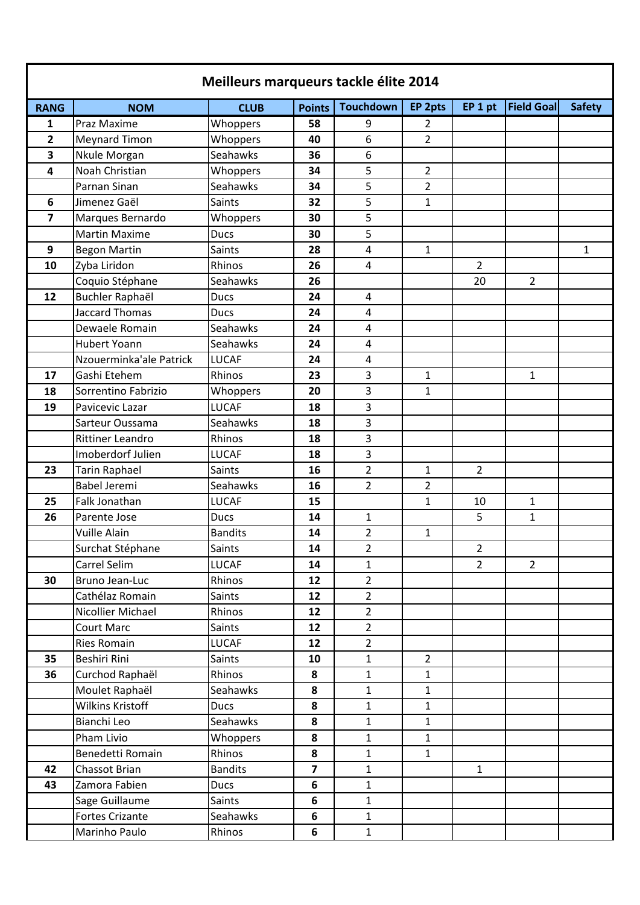| <b>Field Goal</b><br><b>Touchdown</b><br>EP 2pts<br>EP 1 pt<br><b>RANG</b><br><b>NOM</b><br><b>CLUB</b><br><b>Points</b><br>Praz Maxime<br>$\overline{2}$<br>Whoppers<br>58<br>9<br>1<br>$\overline{2}$<br>6<br>$\overline{2}$<br><b>Meynard Timon</b><br>Whoppers<br>40<br>Seahawks<br>6<br>3<br>Nkule Morgan<br>36<br>Noah Christian<br>5<br>$\overline{2}$<br>4<br>Whoppers<br>34<br>5<br>$\overline{2}$<br>Parnan Sinan<br>Seahawks<br>34<br>Jimenez Gaël<br>5<br>Saints<br>32<br>1<br>6<br>5<br>7<br>Marques Bernardo<br>Whoppers<br>30<br>5<br><b>Martin Maxime</b><br>30<br><b>Ducs</b><br>Saints<br>$\overline{4}$<br>9<br><b>Begon Martin</b><br>$\mathbf{1}$<br>28<br>Zyba Liridon<br>Rhinos<br>$\overline{4}$<br>10<br>26<br>$\overline{2}$<br>Coquio Stéphane<br>Seahawks<br>26<br>20<br>$\overline{2}$<br>Buchler Raphaël<br>$\overline{4}$<br>12<br><b>Ducs</b><br>24<br><b>Jaccard Thomas</b><br>$\overline{4}$<br><b>Ducs</b><br>24<br>Seahawks<br>Dewaele Romain<br>24<br>4<br><b>Hubert Yoann</b><br>Seahawks<br>4<br>24<br>Nzouerminka'ale Patrick<br><b>LUCAF</b><br>4<br>24<br>3<br>17<br>Rhinos<br>$\mathbf{1}$<br>Gashi Etehem<br>23<br>$\mathbf{1}$<br>3<br>Sorrentino Fabrizio<br>Whoppers<br>20<br>$\mathbf{1}$<br>18<br><b>LUCAF</b><br>3<br>19<br>Pavicevic Lazar<br>18<br>Seahawks<br>3<br>Sarteur Oussama<br>18<br>3<br><b>Rittiner Leandro</b><br>Rhinos<br>18<br>Imoberdorf Julien<br><b>LUCAF</b><br>3<br>18<br>$\overline{2}$<br>23<br><b>Tarin Raphael</b><br>Saints<br>$\mathbf{1}$<br>$\overline{2}$<br>16<br><b>Babel Jeremi</b><br>$\overline{2}$<br>$\overline{2}$<br>Seahawks<br>16<br>Falk Jonathan<br><b>LUCAF</b><br>25<br>15<br>$\mathbf{1}$<br>10<br>1<br>26<br>Parente Jose<br>14<br>5<br>$\mathbf{1}$<br><b>Ducs</b><br>$\mathbf{1}$<br>$\overline{2}$<br>Vuille Alain<br><b>Bandits</b><br>14<br>$\mathbf{1}$<br>Saints<br>$\overline{2}$<br>$\overline{2}$<br>Surchat Stéphane<br>14<br>Carrel Selim<br><b>LUCAF</b><br>$\overline{2}$<br>$\overline{2}$<br>14<br>$\mathbf{1}$<br><b>Bruno Jean-Luc</b><br>$\overline{2}$<br>Rhinos<br>12<br>30<br>Cathélaz Romain<br>Saints<br>$\overline{2}$<br>12<br>Nicollier Michael<br>$\overline{2}$<br>Rhinos<br>12<br><b>Court Marc</b><br>Saints<br>12<br>$\overline{2}$<br>$\overline{2}$<br><b>Ries Romain</b><br><b>LUCAF</b><br>12<br>Beshiri Rini<br>$\mathbf 1$<br>$\overline{2}$<br>35<br>Saints<br>10<br>Curchod Raphaël<br>$\mathbf{1}$<br>36<br>Rhinos<br>8<br>$\mathbf{1}$<br>Moulet Raphaël<br>$\mathbf{1}$<br>Seahawks<br>8<br>$\mathbf{1}$<br><b>Wilkins Kristoff</b><br>8<br>$\mathbf{1}$<br>$\mathbf{1}$<br><b>Ducs</b><br>Seahawks<br>Bianchi Leo<br>$\mathbf{1}$<br>8<br>$\mathbf{1}$<br>Pham Livio<br>8<br>Whoppers<br>$\mathbf{1}$<br>$\mathbf{1}$<br>Rhinos<br>Benedetti Romain<br>8<br>$\mathbf{1}$<br>$\mathbf{1}$<br><b>Bandits</b><br>$\overline{\mathbf{z}}$<br>42<br>Chassot Brian<br>$\mathbf{1}$<br>$\mathbf{1}$ | Meilleurs marqueurs tackle élite 2014 |  |  |  |  |  |  |  |               |  |
|-------------------------------------------------------------------------------------------------------------------------------------------------------------------------------------------------------------------------------------------------------------------------------------------------------------------------------------------------------------------------------------------------------------------------------------------------------------------------------------------------------------------------------------------------------------------------------------------------------------------------------------------------------------------------------------------------------------------------------------------------------------------------------------------------------------------------------------------------------------------------------------------------------------------------------------------------------------------------------------------------------------------------------------------------------------------------------------------------------------------------------------------------------------------------------------------------------------------------------------------------------------------------------------------------------------------------------------------------------------------------------------------------------------------------------------------------------------------------------------------------------------------------------------------------------------------------------------------------------------------------------------------------------------------------------------------------------------------------------------------------------------------------------------------------------------------------------------------------------------------------------------------------------------------------------------------------------------------------------------------------------------------------------------------------------------------------------------------------------------------------------------------------------------------------------------------------------------------------------------------------------------------------------------------------------------------------------------------------------------------------------------------------------------------------------------------------------------------------------------------------------------------------------------------------------------------------------------------------------------------------------------------------------------------------------------------------------------------------------------------------------------------------------------------------------------------------------------------------------------------------------------------------------------------------------------------|---------------------------------------|--|--|--|--|--|--|--|---------------|--|
|                                                                                                                                                                                                                                                                                                                                                                                                                                                                                                                                                                                                                                                                                                                                                                                                                                                                                                                                                                                                                                                                                                                                                                                                                                                                                                                                                                                                                                                                                                                                                                                                                                                                                                                                                                                                                                                                                                                                                                                                                                                                                                                                                                                                                                                                                                                                                                                                                                                                                                                                                                                                                                                                                                                                                                                                                                                                                                                                           |                                       |  |  |  |  |  |  |  | <b>Safety</b> |  |
|                                                                                                                                                                                                                                                                                                                                                                                                                                                                                                                                                                                                                                                                                                                                                                                                                                                                                                                                                                                                                                                                                                                                                                                                                                                                                                                                                                                                                                                                                                                                                                                                                                                                                                                                                                                                                                                                                                                                                                                                                                                                                                                                                                                                                                                                                                                                                                                                                                                                                                                                                                                                                                                                                                                                                                                                                                                                                                                                           |                                       |  |  |  |  |  |  |  |               |  |
|                                                                                                                                                                                                                                                                                                                                                                                                                                                                                                                                                                                                                                                                                                                                                                                                                                                                                                                                                                                                                                                                                                                                                                                                                                                                                                                                                                                                                                                                                                                                                                                                                                                                                                                                                                                                                                                                                                                                                                                                                                                                                                                                                                                                                                                                                                                                                                                                                                                                                                                                                                                                                                                                                                                                                                                                                                                                                                                                           |                                       |  |  |  |  |  |  |  |               |  |
|                                                                                                                                                                                                                                                                                                                                                                                                                                                                                                                                                                                                                                                                                                                                                                                                                                                                                                                                                                                                                                                                                                                                                                                                                                                                                                                                                                                                                                                                                                                                                                                                                                                                                                                                                                                                                                                                                                                                                                                                                                                                                                                                                                                                                                                                                                                                                                                                                                                                                                                                                                                                                                                                                                                                                                                                                                                                                                                                           |                                       |  |  |  |  |  |  |  |               |  |
|                                                                                                                                                                                                                                                                                                                                                                                                                                                                                                                                                                                                                                                                                                                                                                                                                                                                                                                                                                                                                                                                                                                                                                                                                                                                                                                                                                                                                                                                                                                                                                                                                                                                                                                                                                                                                                                                                                                                                                                                                                                                                                                                                                                                                                                                                                                                                                                                                                                                                                                                                                                                                                                                                                                                                                                                                                                                                                                                           |                                       |  |  |  |  |  |  |  |               |  |
|                                                                                                                                                                                                                                                                                                                                                                                                                                                                                                                                                                                                                                                                                                                                                                                                                                                                                                                                                                                                                                                                                                                                                                                                                                                                                                                                                                                                                                                                                                                                                                                                                                                                                                                                                                                                                                                                                                                                                                                                                                                                                                                                                                                                                                                                                                                                                                                                                                                                                                                                                                                                                                                                                                                                                                                                                                                                                                                                           |                                       |  |  |  |  |  |  |  |               |  |
|                                                                                                                                                                                                                                                                                                                                                                                                                                                                                                                                                                                                                                                                                                                                                                                                                                                                                                                                                                                                                                                                                                                                                                                                                                                                                                                                                                                                                                                                                                                                                                                                                                                                                                                                                                                                                                                                                                                                                                                                                                                                                                                                                                                                                                                                                                                                                                                                                                                                                                                                                                                                                                                                                                                                                                                                                                                                                                                                           |                                       |  |  |  |  |  |  |  |               |  |
|                                                                                                                                                                                                                                                                                                                                                                                                                                                                                                                                                                                                                                                                                                                                                                                                                                                                                                                                                                                                                                                                                                                                                                                                                                                                                                                                                                                                                                                                                                                                                                                                                                                                                                                                                                                                                                                                                                                                                                                                                                                                                                                                                                                                                                                                                                                                                                                                                                                                                                                                                                                                                                                                                                                                                                                                                                                                                                                                           |                                       |  |  |  |  |  |  |  |               |  |
|                                                                                                                                                                                                                                                                                                                                                                                                                                                                                                                                                                                                                                                                                                                                                                                                                                                                                                                                                                                                                                                                                                                                                                                                                                                                                                                                                                                                                                                                                                                                                                                                                                                                                                                                                                                                                                                                                                                                                                                                                                                                                                                                                                                                                                                                                                                                                                                                                                                                                                                                                                                                                                                                                                                                                                                                                                                                                                                                           |                                       |  |  |  |  |  |  |  |               |  |
|                                                                                                                                                                                                                                                                                                                                                                                                                                                                                                                                                                                                                                                                                                                                                                                                                                                                                                                                                                                                                                                                                                                                                                                                                                                                                                                                                                                                                                                                                                                                                                                                                                                                                                                                                                                                                                                                                                                                                                                                                                                                                                                                                                                                                                                                                                                                                                                                                                                                                                                                                                                                                                                                                                                                                                                                                                                                                                                                           |                                       |  |  |  |  |  |  |  | $\mathbf{1}$  |  |
|                                                                                                                                                                                                                                                                                                                                                                                                                                                                                                                                                                                                                                                                                                                                                                                                                                                                                                                                                                                                                                                                                                                                                                                                                                                                                                                                                                                                                                                                                                                                                                                                                                                                                                                                                                                                                                                                                                                                                                                                                                                                                                                                                                                                                                                                                                                                                                                                                                                                                                                                                                                                                                                                                                                                                                                                                                                                                                                                           |                                       |  |  |  |  |  |  |  |               |  |
|                                                                                                                                                                                                                                                                                                                                                                                                                                                                                                                                                                                                                                                                                                                                                                                                                                                                                                                                                                                                                                                                                                                                                                                                                                                                                                                                                                                                                                                                                                                                                                                                                                                                                                                                                                                                                                                                                                                                                                                                                                                                                                                                                                                                                                                                                                                                                                                                                                                                                                                                                                                                                                                                                                                                                                                                                                                                                                                                           |                                       |  |  |  |  |  |  |  |               |  |
|                                                                                                                                                                                                                                                                                                                                                                                                                                                                                                                                                                                                                                                                                                                                                                                                                                                                                                                                                                                                                                                                                                                                                                                                                                                                                                                                                                                                                                                                                                                                                                                                                                                                                                                                                                                                                                                                                                                                                                                                                                                                                                                                                                                                                                                                                                                                                                                                                                                                                                                                                                                                                                                                                                                                                                                                                                                                                                                                           |                                       |  |  |  |  |  |  |  |               |  |
|                                                                                                                                                                                                                                                                                                                                                                                                                                                                                                                                                                                                                                                                                                                                                                                                                                                                                                                                                                                                                                                                                                                                                                                                                                                                                                                                                                                                                                                                                                                                                                                                                                                                                                                                                                                                                                                                                                                                                                                                                                                                                                                                                                                                                                                                                                                                                                                                                                                                                                                                                                                                                                                                                                                                                                                                                                                                                                                                           |                                       |  |  |  |  |  |  |  |               |  |
|                                                                                                                                                                                                                                                                                                                                                                                                                                                                                                                                                                                                                                                                                                                                                                                                                                                                                                                                                                                                                                                                                                                                                                                                                                                                                                                                                                                                                                                                                                                                                                                                                                                                                                                                                                                                                                                                                                                                                                                                                                                                                                                                                                                                                                                                                                                                                                                                                                                                                                                                                                                                                                                                                                                                                                                                                                                                                                                                           |                                       |  |  |  |  |  |  |  |               |  |
|                                                                                                                                                                                                                                                                                                                                                                                                                                                                                                                                                                                                                                                                                                                                                                                                                                                                                                                                                                                                                                                                                                                                                                                                                                                                                                                                                                                                                                                                                                                                                                                                                                                                                                                                                                                                                                                                                                                                                                                                                                                                                                                                                                                                                                                                                                                                                                                                                                                                                                                                                                                                                                                                                                                                                                                                                                                                                                                                           |                                       |  |  |  |  |  |  |  |               |  |
|                                                                                                                                                                                                                                                                                                                                                                                                                                                                                                                                                                                                                                                                                                                                                                                                                                                                                                                                                                                                                                                                                                                                                                                                                                                                                                                                                                                                                                                                                                                                                                                                                                                                                                                                                                                                                                                                                                                                                                                                                                                                                                                                                                                                                                                                                                                                                                                                                                                                                                                                                                                                                                                                                                                                                                                                                                                                                                                                           |                                       |  |  |  |  |  |  |  |               |  |
|                                                                                                                                                                                                                                                                                                                                                                                                                                                                                                                                                                                                                                                                                                                                                                                                                                                                                                                                                                                                                                                                                                                                                                                                                                                                                                                                                                                                                                                                                                                                                                                                                                                                                                                                                                                                                                                                                                                                                                                                                                                                                                                                                                                                                                                                                                                                                                                                                                                                                                                                                                                                                                                                                                                                                                                                                                                                                                                                           |                                       |  |  |  |  |  |  |  |               |  |
|                                                                                                                                                                                                                                                                                                                                                                                                                                                                                                                                                                                                                                                                                                                                                                                                                                                                                                                                                                                                                                                                                                                                                                                                                                                                                                                                                                                                                                                                                                                                                                                                                                                                                                                                                                                                                                                                                                                                                                                                                                                                                                                                                                                                                                                                                                                                                                                                                                                                                                                                                                                                                                                                                                                                                                                                                                                                                                                                           |                                       |  |  |  |  |  |  |  |               |  |
|                                                                                                                                                                                                                                                                                                                                                                                                                                                                                                                                                                                                                                                                                                                                                                                                                                                                                                                                                                                                                                                                                                                                                                                                                                                                                                                                                                                                                                                                                                                                                                                                                                                                                                                                                                                                                                                                                                                                                                                                                                                                                                                                                                                                                                                                                                                                                                                                                                                                                                                                                                                                                                                                                                                                                                                                                                                                                                                                           |                                       |  |  |  |  |  |  |  |               |  |
|                                                                                                                                                                                                                                                                                                                                                                                                                                                                                                                                                                                                                                                                                                                                                                                                                                                                                                                                                                                                                                                                                                                                                                                                                                                                                                                                                                                                                                                                                                                                                                                                                                                                                                                                                                                                                                                                                                                                                                                                                                                                                                                                                                                                                                                                                                                                                                                                                                                                                                                                                                                                                                                                                                                                                                                                                                                                                                                                           |                                       |  |  |  |  |  |  |  |               |  |
|                                                                                                                                                                                                                                                                                                                                                                                                                                                                                                                                                                                                                                                                                                                                                                                                                                                                                                                                                                                                                                                                                                                                                                                                                                                                                                                                                                                                                                                                                                                                                                                                                                                                                                                                                                                                                                                                                                                                                                                                                                                                                                                                                                                                                                                                                                                                                                                                                                                                                                                                                                                                                                                                                                                                                                                                                                                                                                                                           |                                       |  |  |  |  |  |  |  |               |  |
|                                                                                                                                                                                                                                                                                                                                                                                                                                                                                                                                                                                                                                                                                                                                                                                                                                                                                                                                                                                                                                                                                                                                                                                                                                                                                                                                                                                                                                                                                                                                                                                                                                                                                                                                                                                                                                                                                                                                                                                                                                                                                                                                                                                                                                                                                                                                                                                                                                                                                                                                                                                                                                                                                                                                                                                                                                                                                                                                           |                                       |  |  |  |  |  |  |  |               |  |
|                                                                                                                                                                                                                                                                                                                                                                                                                                                                                                                                                                                                                                                                                                                                                                                                                                                                                                                                                                                                                                                                                                                                                                                                                                                                                                                                                                                                                                                                                                                                                                                                                                                                                                                                                                                                                                                                                                                                                                                                                                                                                                                                                                                                                                                                                                                                                                                                                                                                                                                                                                                                                                                                                                                                                                                                                                                                                                                                           |                                       |  |  |  |  |  |  |  |               |  |
|                                                                                                                                                                                                                                                                                                                                                                                                                                                                                                                                                                                                                                                                                                                                                                                                                                                                                                                                                                                                                                                                                                                                                                                                                                                                                                                                                                                                                                                                                                                                                                                                                                                                                                                                                                                                                                                                                                                                                                                                                                                                                                                                                                                                                                                                                                                                                                                                                                                                                                                                                                                                                                                                                                                                                                                                                                                                                                                                           |                                       |  |  |  |  |  |  |  |               |  |
|                                                                                                                                                                                                                                                                                                                                                                                                                                                                                                                                                                                                                                                                                                                                                                                                                                                                                                                                                                                                                                                                                                                                                                                                                                                                                                                                                                                                                                                                                                                                                                                                                                                                                                                                                                                                                                                                                                                                                                                                                                                                                                                                                                                                                                                                                                                                                                                                                                                                                                                                                                                                                                                                                                                                                                                                                                                                                                                                           |                                       |  |  |  |  |  |  |  |               |  |
|                                                                                                                                                                                                                                                                                                                                                                                                                                                                                                                                                                                                                                                                                                                                                                                                                                                                                                                                                                                                                                                                                                                                                                                                                                                                                                                                                                                                                                                                                                                                                                                                                                                                                                                                                                                                                                                                                                                                                                                                                                                                                                                                                                                                                                                                                                                                                                                                                                                                                                                                                                                                                                                                                                                                                                                                                                                                                                                                           |                                       |  |  |  |  |  |  |  |               |  |
|                                                                                                                                                                                                                                                                                                                                                                                                                                                                                                                                                                                                                                                                                                                                                                                                                                                                                                                                                                                                                                                                                                                                                                                                                                                                                                                                                                                                                                                                                                                                                                                                                                                                                                                                                                                                                                                                                                                                                                                                                                                                                                                                                                                                                                                                                                                                                                                                                                                                                                                                                                                                                                                                                                                                                                                                                                                                                                                                           |                                       |  |  |  |  |  |  |  |               |  |
|                                                                                                                                                                                                                                                                                                                                                                                                                                                                                                                                                                                                                                                                                                                                                                                                                                                                                                                                                                                                                                                                                                                                                                                                                                                                                                                                                                                                                                                                                                                                                                                                                                                                                                                                                                                                                                                                                                                                                                                                                                                                                                                                                                                                                                                                                                                                                                                                                                                                                                                                                                                                                                                                                                                                                                                                                                                                                                                                           |                                       |  |  |  |  |  |  |  |               |  |
|                                                                                                                                                                                                                                                                                                                                                                                                                                                                                                                                                                                                                                                                                                                                                                                                                                                                                                                                                                                                                                                                                                                                                                                                                                                                                                                                                                                                                                                                                                                                                                                                                                                                                                                                                                                                                                                                                                                                                                                                                                                                                                                                                                                                                                                                                                                                                                                                                                                                                                                                                                                                                                                                                                                                                                                                                                                                                                                                           |                                       |  |  |  |  |  |  |  |               |  |
|                                                                                                                                                                                                                                                                                                                                                                                                                                                                                                                                                                                                                                                                                                                                                                                                                                                                                                                                                                                                                                                                                                                                                                                                                                                                                                                                                                                                                                                                                                                                                                                                                                                                                                                                                                                                                                                                                                                                                                                                                                                                                                                                                                                                                                                                                                                                                                                                                                                                                                                                                                                                                                                                                                                                                                                                                                                                                                                                           |                                       |  |  |  |  |  |  |  |               |  |
|                                                                                                                                                                                                                                                                                                                                                                                                                                                                                                                                                                                                                                                                                                                                                                                                                                                                                                                                                                                                                                                                                                                                                                                                                                                                                                                                                                                                                                                                                                                                                                                                                                                                                                                                                                                                                                                                                                                                                                                                                                                                                                                                                                                                                                                                                                                                                                                                                                                                                                                                                                                                                                                                                                                                                                                                                                                                                                                                           |                                       |  |  |  |  |  |  |  |               |  |
|                                                                                                                                                                                                                                                                                                                                                                                                                                                                                                                                                                                                                                                                                                                                                                                                                                                                                                                                                                                                                                                                                                                                                                                                                                                                                                                                                                                                                                                                                                                                                                                                                                                                                                                                                                                                                                                                                                                                                                                                                                                                                                                                                                                                                                                                                                                                                                                                                                                                                                                                                                                                                                                                                                                                                                                                                                                                                                                                           |                                       |  |  |  |  |  |  |  |               |  |
|                                                                                                                                                                                                                                                                                                                                                                                                                                                                                                                                                                                                                                                                                                                                                                                                                                                                                                                                                                                                                                                                                                                                                                                                                                                                                                                                                                                                                                                                                                                                                                                                                                                                                                                                                                                                                                                                                                                                                                                                                                                                                                                                                                                                                                                                                                                                                                                                                                                                                                                                                                                                                                                                                                                                                                                                                                                                                                                                           |                                       |  |  |  |  |  |  |  |               |  |
|                                                                                                                                                                                                                                                                                                                                                                                                                                                                                                                                                                                                                                                                                                                                                                                                                                                                                                                                                                                                                                                                                                                                                                                                                                                                                                                                                                                                                                                                                                                                                                                                                                                                                                                                                                                                                                                                                                                                                                                                                                                                                                                                                                                                                                                                                                                                                                                                                                                                                                                                                                                                                                                                                                                                                                                                                                                                                                                                           |                                       |  |  |  |  |  |  |  |               |  |
|                                                                                                                                                                                                                                                                                                                                                                                                                                                                                                                                                                                                                                                                                                                                                                                                                                                                                                                                                                                                                                                                                                                                                                                                                                                                                                                                                                                                                                                                                                                                                                                                                                                                                                                                                                                                                                                                                                                                                                                                                                                                                                                                                                                                                                                                                                                                                                                                                                                                                                                                                                                                                                                                                                                                                                                                                                                                                                                                           |                                       |  |  |  |  |  |  |  |               |  |
|                                                                                                                                                                                                                                                                                                                                                                                                                                                                                                                                                                                                                                                                                                                                                                                                                                                                                                                                                                                                                                                                                                                                                                                                                                                                                                                                                                                                                                                                                                                                                                                                                                                                                                                                                                                                                                                                                                                                                                                                                                                                                                                                                                                                                                                                                                                                                                                                                                                                                                                                                                                                                                                                                                                                                                                                                                                                                                                                           |                                       |  |  |  |  |  |  |  |               |  |
|                                                                                                                                                                                                                                                                                                                                                                                                                                                                                                                                                                                                                                                                                                                                                                                                                                                                                                                                                                                                                                                                                                                                                                                                                                                                                                                                                                                                                                                                                                                                                                                                                                                                                                                                                                                                                                                                                                                                                                                                                                                                                                                                                                                                                                                                                                                                                                                                                                                                                                                                                                                                                                                                                                                                                                                                                                                                                                                                           |                                       |  |  |  |  |  |  |  |               |  |
|                                                                                                                                                                                                                                                                                                                                                                                                                                                                                                                                                                                                                                                                                                                                                                                                                                                                                                                                                                                                                                                                                                                                                                                                                                                                                                                                                                                                                                                                                                                                                                                                                                                                                                                                                                                                                                                                                                                                                                                                                                                                                                                                                                                                                                                                                                                                                                                                                                                                                                                                                                                                                                                                                                                                                                                                                                                                                                                                           |                                       |  |  |  |  |  |  |  |               |  |
|                                                                                                                                                                                                                                                                                                                                                                                                                                                                                                                                                                                                                                                                                                                                                                                                                                                                                                                                                                                                                                                                                                                                                                                                                                                                                                                                                                                                                                                                                                                                                                                                                                                                                                                                                                                                                                                                                                                                                                                                                                                                                                                                                                                                                                                                                                                                                                                                                                                                                                                                                                                                                                                                                                                                                                                                                                                                                                                                           |                                       |  |  |  |  |  |  |  |               |  |
|                                                                                                                                                                                                                                                                                                                                                                                                                                                                                                                                                                                                                                                                                                                                                                                                                                                                                                                                                                                                                                                                                                                                                                                                                                                                                                                                                                                                                                                                                                                                                                                                                                                                                                                                                                                                                                                                                                                                                                                                                                                                                                                                                                                                                                                                                                                                                                                                                                                                                                                                                                                                                                                                                                                                                                                                                                                                                                                                           |                                       |  |  |  |  |  |  |  |               |  |
|                                                                                                                                                                                                                                                                                                                                                                                                                                                                                                                                                                                                                                                                                                                                                                                                                                                                                                                                                                                                                                                                                                                                                                                                                                                                                                                                                                                                                                                                                                                                                                                                                                                                                                                                                                                                                                                                                                                                                                                                                                                                                                                                                                                                                                                                                                                                                                                                                                                                                                                                                                                                                                                                                                                                                                                                                                                                                                                                           |                                       |  |  |  |  |  |  |  |               |  |
|                                                                                                                                                                                                                                                                                                                                                                                                                                                                                                                                                                                                                                                                                                                                                                                                                                                                                                                                                                                                                                                                                                                                                                                                                                                                                                                                                                                                                                                                                                                                                                                                                                                                                                                                                                                                                                                                                                                                                                                                                                                                                                                                                                                                                                                                                                                                                                                                                                                                                                                                                                                                                                                                                                                                                                                                                                                                                                                                           |                                       |  |  |  |  |  |  |  |               |  |
| Zamora Fabien<br>6<br>43<br><b>Ducs</b><br>$\mathbf{1}$                                                                                                                                                                                                                                                                                                                                                                                                                                                                                                                                                                                                                                                                                                                                                                                                                                                                                                                                                                                                                                                                                                                                                                                                                                                                                                                                                                                                                                                                                                                                                                                                                                                                                                                                                                                                                                                                                                                                                                                                                                                                                                                                                                                                                                                                                                                                                                                                                                                                                                                                                                                                                                                                                                                                                                                                                                                                                   |                                       |  |  |  |  |  |  |  |               |  |
| $\mathbf{1}$<br>Sage Guillaume<br>6<br><b>Saints</b>                                                                                                                                                                                                                                                                                                                                                                                                                                                                                                                                                                                                                                                                                                                                                                                                                                                                                                                                                                                                                                                                                                                                                                                                                                                                                                                                                                                                                                                                                                                                                                                                                                                                                                                                                                                                                                                                                                                                                                                                                                                                                                                                                                                                                                                                                                                                                                                                                                                                                                                                                                                                                                                                                                                                                                                                                                                                                      |                                       |  |  |  |  |  |  |  |               |  |
| <b>Fortes Crizante</b><br>Seahawks<br>6<br>$\mathbf{1}$                                                                                                                                                                                                                                                                                                                                                                                                                                                                                                                                                                                                                                                                                                                                                                                                                                                                                                                                                                                                                                                                                                                                                                                                                                                                                                                                                                                                                                                                                                                                                                                                                                                                                                                                                                                                                                                                                                                                                                                                                                                                                                                                                                                                                                                                                                                                                                                                                                                                                                                                                                                                                                                                                                                                                                                                                                                                                   |                                       |  |  |  |  |  |  |  |               |  |
| Marinho Paulo<br>Rhinos<br>6<br>$\mathbf 1$                                                                                                                                                                                                                                                                                                                                                                                                                                                                                                                                                                                                                                                                                                                                                                                                                                                                                                                                                                                                                                                                                                                                                                                                                                                                                                                                                                                                                                                                                                                                                                                                                                                                                                                                                                                                                                                                                                                                                                                                                                                                                                                                                                                                                                                                                                                                                                                                                                                                                                                                                                                                                                                                                                                                                                                                                                                                                               |                                       |  |  |  |  |  |  |  |               |  |